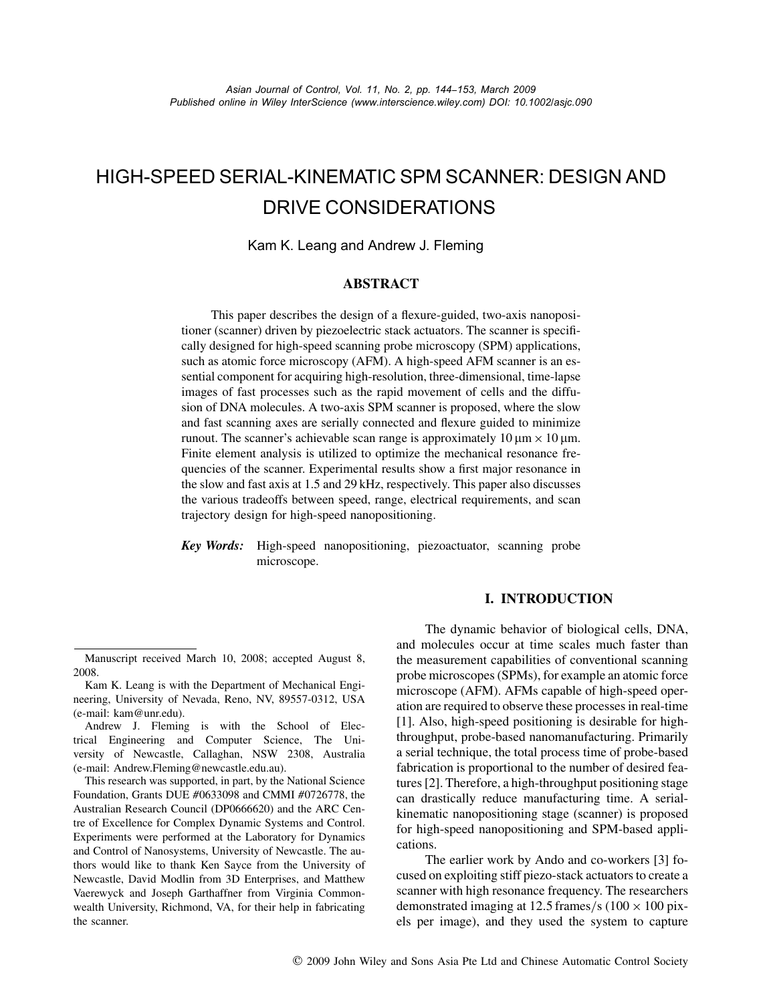# HIGH-SPEED SERIAL-KINEMATIC SPM SCANNER: DESIGN AND DRIVE CONSIDERATIONS

Kam K. Leang and Andrew J. Fleming

#### **ABSTRACT**

This paper describes the design of a flexure-guided, two-axis nanopositioner (scanner) driven by piezoelectric stack actuators. The scanner is specifically designed for high-speed scanning probe microscopy (SPM) applications, such as atomic force microscopy (AFM). A high-speed AFM scanner is an essential component for acquiring high-resolution, three-dimensional, time-lapse images of fast processes such as the rapid movement of cells and the diffusion of DNA molecules. A two-axis SPM scanner is proposed, where the slow and fast scanning axes are serially connected and flexure guided to minimize runout. The scanner's achievable scan range is approximately  $10 \mu m \times 10 \mu m$ . Finite element analysis is utilized to optimize the mechanical resonance frequencies of the scanner. Experimental results show a first major resonance in the slow and fast axis at 1.5 and 29 kHz, respectively. This paper also discusses the various tradeoffs between speed, range, electrical requirements, and scan trajectory design for high-speed nanopositioning.

*Key Words:* High-speed nanopositioning, piezoactuator, scanning probe microscope.

## **I. INTRODUCTION**

This research was supported, in part, by the National Science Foundation, Grants DUE #0633098 and CMMI #0726778, the Australian Research Council (DP0666620) and the ARC Centre of Excellence for Complex Dynamic Systems and Control. Experiments were performed at the Laboratory for Dynamics and Control of Nanosystems, University of Newcastle. The authors would like to thank Ken Sayce from the University of Newcastle, David Modlin from 3D Enterprises, and Matthew Vaerewyck and Joseph Garthaffner from Virginia Commonwealth University, Richmond, VA, for their help in fabricating the scanner.

The dynamic behavior of biological cells, DNA, and molecules occur at time scales much faster than the measurement capabilities of conventional scanning probe microscopes (SPMs), for example an atomic force microscope (AFM). AFMs capable of high-speed operation are required to observe these processes in real-time [1]. Also, high-speed positioning is desirable for highthroughput, probe-based nanomanufacturing. Primarily a serial technique, the total process time of probe-based fabrication is proportional to the number of desired features[2]. Therefore, a high-throughput positioning stage can drastically reduce manufacturing time. A serialkinematic nanopositioning stage (scanner) is proposed for high-speed nanopositioning and SPM-based applications.

The earlier work by Ando and co-workers [3] focused on exploiting stiff piezo-stack actuators to create a scanner with high resonance frequency. The researchers demonstrated imaging at 12*.*5 frames*/*s (100 × 100 pixels per image), and they used the system to capture

Manuscript received March 10, 2008; accepted August 8, 2008.

Kam K. Leang is with the Department of Mechanical Engineering, University of Nevada, Reno, NV, 89557-0312, USA (e-mail: kam@unr.edu).

Andrew J. Fleming is with the School of Electrical Engineering and Computer Science, The University of Newcastle, Callaghan, NSW 2308, Australia (e-mail: Andrew.Fleming@newcastle.edu.au).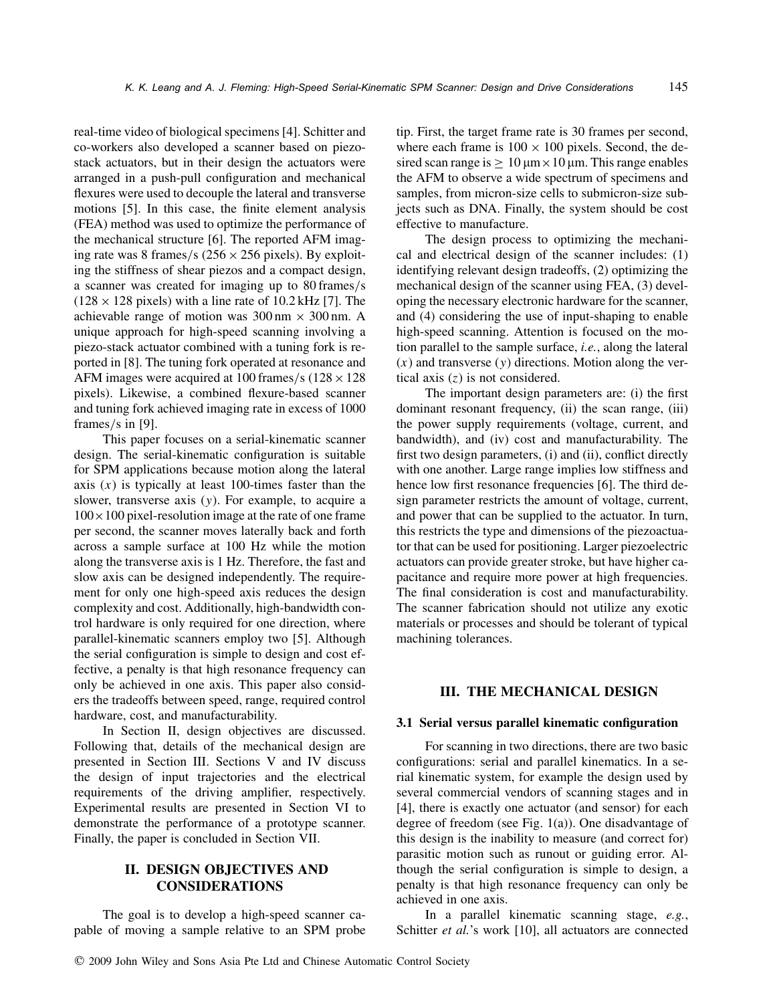real-time video of biological specimens[4]. Schitter and co-workers also developed a scanner based on piezostack actuators, but in their design the actuators were arranged in a push-pull configuration and mechanical flexures were used to decouple the lateral and transverse motions [5]. In this case, the finite element analysis (FEA) method was used to optimize the performance of the mechanical structure [6]. The reported AFM imaging rate was 8 frames*/*s (256 × 256 pixels). By exploiting the stiffness of shear piezos and a compact design, a scanner was created for imaging up to 80 frames*/*s  $(128 \times 128$  pixels) with a line rate of  $10.2$  kHz [7]. The achievable range of motion was  $300 \text{ nm} \times 300 \text{ nm}$ . A unique approach for high-speed scanning involving a piezo-stack actuator combined with a tuning fork is reported in [8]. The tuning fork operated at resonance and AFM images were acquired at 100 frames*/*s (128×128 pixels). Likewise, a combined flexure-based scanner and tuning fork achieved imaging rate in excess of 1000 frames*/*s in [9].

This paper focuses on a serial-kinematic scanner design. The serial-kinematic configuration is suitable for SPM applications because motion along the lateral axis  $(x)$  is typically at least 100-times faster than the slower, transverse axis (*y*). For example, to acquire a  $100 \times 100$  pixel-resolution image at the rate of one frame per second, the scanner moves laterally back and forth across a sample surface at 100 Hz while the motion along the transverse axis is 1 Hz. Therefore, the fast and slow axis can be designed independently. The requirement for only one high-speed axis reduces the design complexity and cost. Additionally, high-bandwidth control hardware is only required for one direction, where parallel-kinematic scanners employ two [5]. Although the serial configuration is simple to design and cost effective, a penalty is that high resonance frequency can only be achieved in one axis. This paper also considers the tradeoffs between speed, range, required control hardware, cost, and manufacturability.

In Section II, design objectives are discussed. Following that, details of the mechanical design are presented in Section III. Sections V and IV discuss the design of input trajectories and the electrical requirements of the driving amplifier, respectively. Experimental results are presented in Section VI to demonstrate the performance of a prototype scanner. Finally, the paper is concluded in Section VII.

## **II. DESIGN OBJECTIVES AND CONSIDERATIONS**

The goal is to develop a high-speed scanner capable of moving a sample relative to an SPM probe

tip. First, the target frame rate is 30 frames per second, where each frame is  $100 \times 100$  pixels. Second, the desired scan range is  $\geq 10 \,\text{\mu m} \times 10 \,\text{\mu m}$ . This range enables the AFM to observe a wide spectrum of specimens and samples, from micron-size cells to submicron-size subjects such as DNA. Finally, the system should be cost effective to manufacture.

The design process to optimizing the mechanical and electrical design of the scanner includes: (1) identifying relevant design tradeoffs, (2) optimizing the mechanical design of the scanner using FEA, (3) developing the necessary electronic hardware for the scanner, and (4) considering the use of input-shaping to enable high-speed scanning. Attention is focused on the motion parallel to the sample surface, *i.e.*, along the lateral  $(x)$  and transverse  $(y)$  directions. Motion along the vertical axis (*z*) is not considered.

The important design parameters are: (i) the first dominant resonant frequency, (ii) the scan range, (iii) the power supply requirements (voltage, current, and bandwidth), and (iv) cost and manufacturability. The first two design parameters, (i) and (ii), conflict directly with one another. Large range implies low stiffness and hence low first resonance frequencies [6]. The third design parameter restricts the amount of voltage, current, and power that can be supplied to the actuator. In turn, this restricts the type and dimensions of the piezoactuator that can be used for positioning. Larger piezoelectric actuators can provide greater stroke, but have higher capacitance and require more power at high frequencies. The final consideration is cost and manufacturability. The scanner fabrication should not utilize any exotic materials or processes and should be tolerant of typical machining tolerances.

## **III. THE MECHANICAL DESIGN**

#### **3.1 Serial versus parallel kinematic configuration**

For scanning in two directions, there are two basic configurations: serial and parallel kinematics. In a serial kinematic system, for example the design used by several commercial vendors of scanning stages and in [4], there is exactly one actuator (and sensor) for each degree of freedom (see Fig. 1(a)). One disadvantage of this design is the inability to measure (and correct for) parasitic motion such as runout or guiding error. Although the serial configuration is simple to design, a penalty is that high resonance frequency can only be achieved in one axis.

In a parallel kinematic scanning stage, *e.g.*, Schitter *et al.*'s work [10], all actuators are connected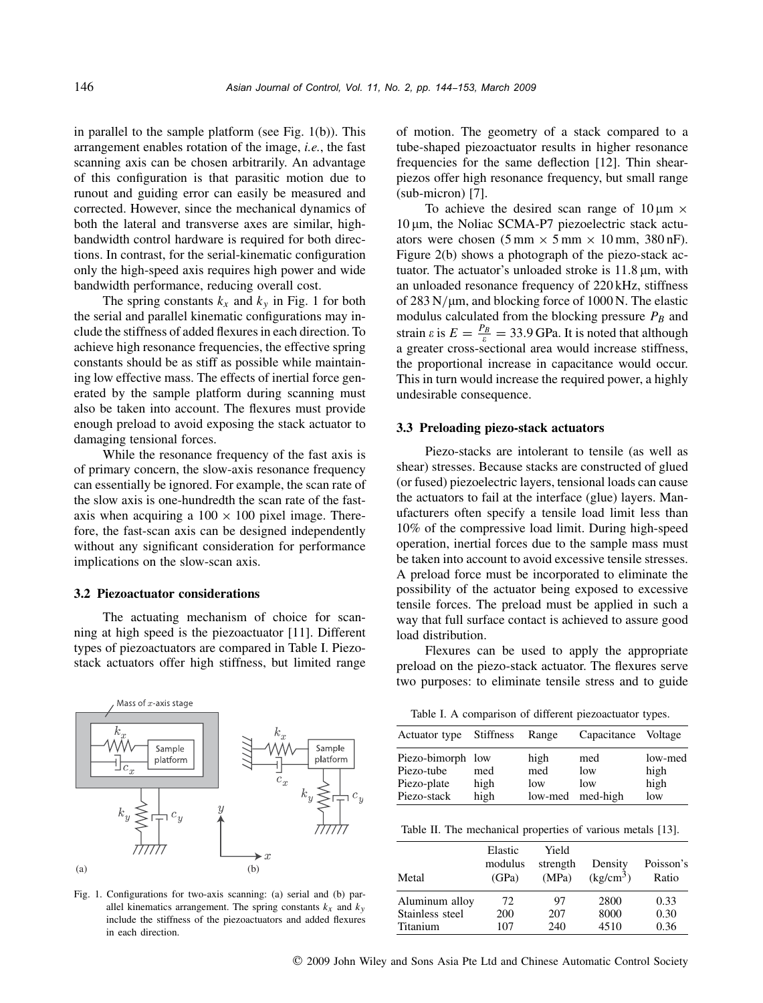in parallel to the sample platform (see Fig. 1(b)). This arrangement enables rotation of the image, *i.e.*, the fast scanning axis can be chosen arbitrarily. An advantage of this configuration is that parasitic motion due to runout and guiding error can easily be measured and corrected. However, since the mechanical dynamics of both the lateral and transverse axes are similar, highbandwidth control hardware is required for both directions. In contrast, for the serial-kinematic configuration only the high-speed axis requires high power and wide bandwidth performance, reducing overall cost.

The spring constants  $k_x$  and  $k_y$  in Fig. 1 for both the serial and parallel kinematic configurations may include the stiffness of added flexures in each direction. To achieve high resonance frequencies, the effective spring constants should be as stiff as possible while maintaining low effective mass. The effects of inertial force generated by the sample platform during scanning must also be taken into account. The flexures must provide enough preload to avoid exposing the stack actuator to damaging tensional forces.

While the resonance frequency of the fast axis is of primary concern, the slow-axis resonance frequency can essentially be ignored. For example, the scan rate of the slow axis is one-hundredth the scan rate of the fastaxis when acquiring a  $100 \times 100$  pixel image. Therefore, the fast-scan axis can be designed independently without any significant consideration for performance implications on the slow-scan axis.

#### **3.2 Piezoactuator considerations**

The actuating mechanism of choice for scanning at high speed is the piezoactuator [11]. Different types of piezoactuators are compared in Table I. Piezostack actuators offer high stiffness, but limited range



Fig. 1. Configurations for two-axis scanning: (a) serial and (b) parallel kinematics arrangement. The spring constants  $k_x$  and  $k_y$ include the stiffness of the piezoactuators and added flexures in each direction.

of motion. The geometry of a stack compared to a tube-shaped piezoactuator results in higher resonance frequencies for the same deflection [12]. Thin shearpiezos offer high resonance frequency, but small range (sub-micron) [7].

To achieve the desired scan range of  $10 \mu m \times$  $10 \,\mu$ m, the Noliac SCMA-P7 piezoelectric stack actuators were chosen  $(5 \text{ mm} \times 5 \text{ mm} \times 10 \text{ mm}, 380 \text{ nF}).$ Figure 2(b) shows a photograph of the piezo-stack actuator. The actuator's unloaded stroke is 11.8  $\mu$ m, with an unloaded resonance frequency of 220 kHz, stiffness of 283 N*/*-m, and blocking force of 1000 N. The elastic modulus calculated from the blocking pressure  $P_B$  and strain  $\varepsilon$  is  $E = \frac{P_B}{\varepsilon} = 33.9$  GPa. It is noted that although a greater cross-sectional area would increase stiffness, the proportional increase in capacitance would occur. This in turn would increase the required power, a highly undesirable consequence.

## **3.3 Preloading piezo-stack actuators**

Piezo-stacks are intolerant to tensile (as well as shear) stresses. Because stacks are constructed of glued (or fused) piezoelectric layers, tensional loads can cause the actuators to fail at the interface (glue) layers. Manufacturers often specify a tensile load limit less than 10% of the compressive load limit. During high-speed operation, inertial forces due to the sample mass must be taken into account to avoid excessive tensile stresses. A preload force must be incorporated to eliminate the possibility of the actuator being exposed to excessive tensile forces. The preload must be applied in such a way that full surface contact is achieved to assure good load distribution.

Flexures can be used to apply the appropriate preload on the piezo-stack actuator. The flexures serve two purposes: to eliminate tensile stress and to guide

Table I. A comparison of different piezoactuator types.

| Actuator type                                  | <b>Stiffness</b> | Range              | Capacitance       | Voltage                 |
|------------------------------------------------|------------------|--------------------|-------------------|-------------------------|
| Piezo-bimorph low<br>Piezo-tube<br>Piezo-plate | med<br>high      | high<br>med<br>low | med<br>low<br>low | low-med<br>high<br>high |
| Piezo-stack                                    | high             |                    | low-med med-high  | low                     |

Table II. The mechanical properties of various metals [13].

| Metal           | Elastic<br>modulus<br>(GPa) | Yield<br>strength<br>(MPa) | Density<br>$(kg/cm^3)$ | Poisson's<br>Ratio |
|-----------------|-----------------------------|----------------------------|------------------------|--------------------|
| Aluminum alloy  | 72                          | 97                         | 2800                   | 0.33               |
| Stainless steel | 200                         | 207                        | 8000                   | 0.30               |
| Titanium        | 107                         | 240                        | 4510                   | 0.36               |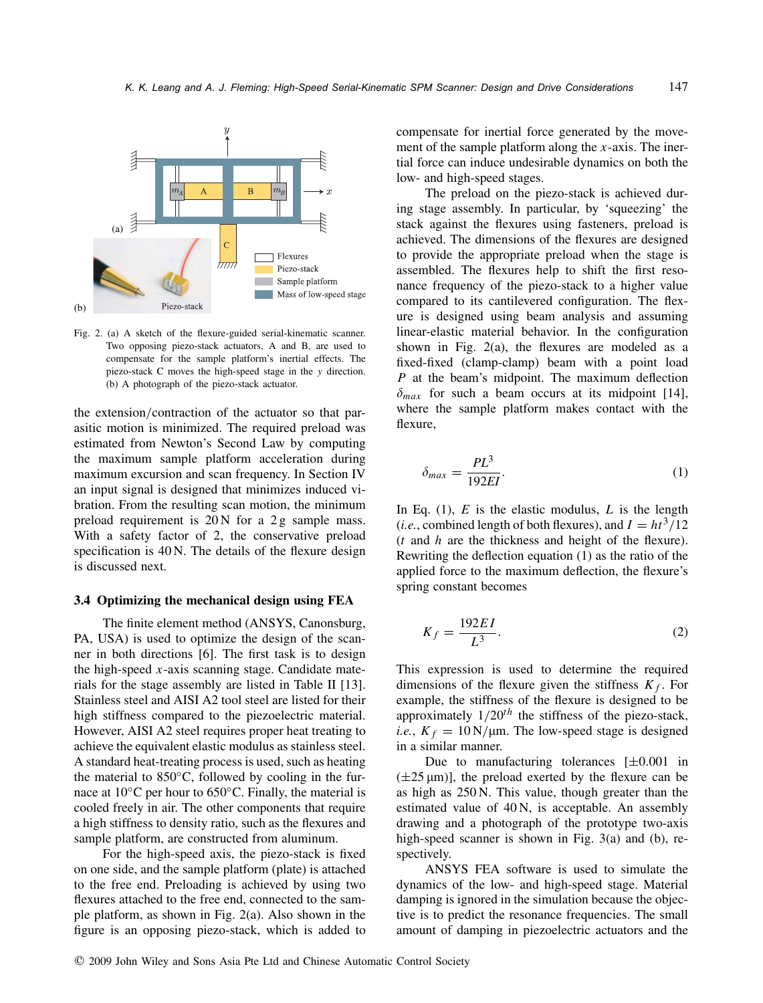

Fig. 2. (a) A sketch of the flexure-guided serial-kinematic scanner. Two opposing piezo-stack actuators, A and B, are used to compensate for the sample platform's inertial effects. The piezo-stack C moves the high-speed stage in the *y* direction. (b) A photograph of the piezo-stack actuator.

the extension*/*contraction of the actuator so that parasitic motion is minimized. The required preload was estimated from Newton's Second Law by computing the maximum sample platform acceleration during maximum excursion and scan frequency. In Section IV an input signal is designed that minimizes induced vibration. From the resulting scan motion, the minimum preload requirement is  $20N$  for a  $2g$  sample mass. With a safety factor of 2, the conservative preload specification is 40 N. The details of the flexure design is discussed next.

#### **3.4 Optimizing the mechanical design using FEA**

The finite element method (ANSYS, Canonsburg, PA, USA) is used to optimize the design of the scanner in both directions [6]. The first task is to design the high-speed *x*-axis scanning stage. Candidate materials for the stage assembly are listed in Table II [13]. Stainless steel and AISI A2 tool steel are listed for their high stiffness compared to the piezoelectric material. However, AISI A2 steel requires proper heat treating to achieve the equivalent elastic modulus as stainless steel. A standard heat-treating process is used, such as heating the material to  $850^{\circ}$ C, followed by cooling in the furnace at 10◦C per hour to 650◦C. Finally, the material is cooled freely in air. The other components that require a high stiffness to density ratio, such as the flexures and sample platform, are constructed from aluminum.

For the high-speed axis, the piezo-stack is fixed on one side, and the sample platform (plate) is attached to the free end. Preloading is achieved by using two flexures attached to the free end, connected to the sample platform, as shown in Fig. 2(a). Also shown in the figure is an opposing piezo-stack, which is added to compensate for inertial force generated by the movement of the sample platform along the *x*-axis. The inertial force can induce undesirable dynamics on both the low- and high-speed stages.

The preload on the piezo-stack is achieved during stage assembly. In particular, by 'squeezing' the stack against the flexures using fasteners, preload is achieved. The dimensions of the flexures are designed to provide the appropriate preload when the stage is assembled. The flexures help to shift the first resonance frequency of the piezo-stack to a higher value compared to its cantilevered configuration. The flexure is designed using beam analysis and assuming linear-elastic material behavior. In the configuration shown in Fig. 2(a), the flexures are modeled as a fixed-fixed (clamp-clamp) beam with a point load *P* at the beam's midpoint. The maximum deflection  $\delta_{max}$  for such a beam occurs at its midpoint [14], where the sample platform makes contact with the flexure,

$$
\delta_{max} = \frac{PL^3}{192EI}.\tag{1}
$$

In Eq. (1), *E* is the elastic modulus, *L* is the length (*i.e.*, combined length of both flexures), and  $I = ht^3/12$ (*t* and *h* are the thickness and height of the flexure). Rewriting the deflection equation (1) as the ratio of the applied force to the maximum deflection, the flexure's spring constant becomes

$$
K_f = \frac{192EI}{L^3}.\tag{2}
$$

This expression is used to determine the required dimensions of the flexure given the stiffness  $K_f$ . For example, the stiffness of the flexure is designed to be approximately 1*/*20*th* the stiffness of the piezo-stack, *i.e.*,  $K_f = 10 \text{ N/mm}$ . The low-speed stage is designed in a similar manner.

Due to manufacturing tolerances [±0*.*001 in  $(\pm 25 \,\mu\text{m})$ ], the preload exerted by the flexure can be as high as 250 N. This value, though greater than the estimated value of 40 N, is acceptable. An assembly drawing and a photograph of the prototype two-axis high-speed scanner is shown in Fig. 3(a) and (b), respectively.

ANSYS FEA software is used to simulate the dynamics of the low- and high-speed stage. Material damping is ignored in the simulation because the objective is to predict the resonance frequencies. The small amount of damping in piezoelectric actuators and the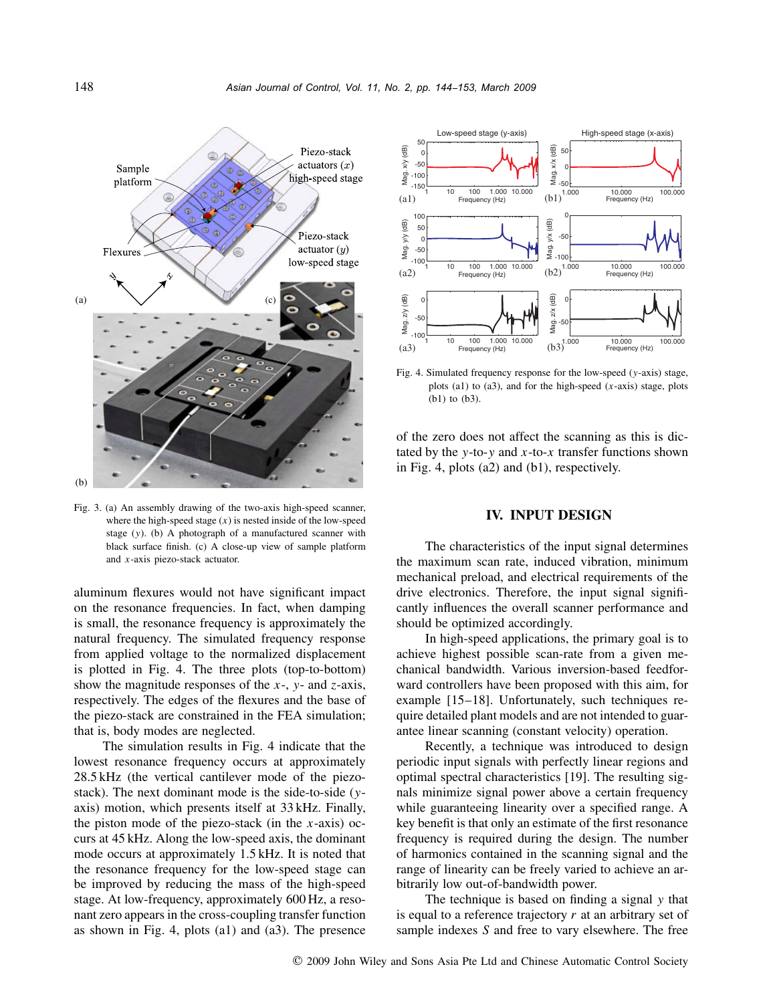

Fig. 3. (a) An assembly drawing of the two-axis high-speed scanner, where the high-speed stage  $(x)$  is nested inside of the low-speed stage (*y*). (b) A photograph of a manufactured scanner with black surface finish. (c) A close-up view of sample platform and *x*-axis piezo-stack actuator.

aluminum flexures would not have significant impact on the resonance frequencies. In fact, when damping is small, the resonance frequency is approximately the natural frequency. The simulated frequency response from applied voltage to the normalized displacement is plotted in Fig. 4. The three plots (top-to-bottom) show the magnitude responses of the *x*-, *y*- and *z*-axis, respectively. The edges of the flexures and the base of the piezo-stack are constrained in the FEA simulation; that is, body modes are neglected.

The simulation results in Fig. 4 indicate that the lowest resonance frequency occurs at approximately 28.5 kHz (the vertical cantilever mode of the piezostack). The next dominant mode is the side-to-side (*y*axis) motion, which presents itself at 33 kHz. Finally, the piston mode of the piezo-stack (in the *x*-axis) occurs at 45 kHz. Along the low-speed axis, the dominant mode occurs at approximately 1.5 kHz. It is noted that the resonance frequency for the low-speed stage can be improved by reducing the mass of the high-speed stage. At low-frequency, approximately 600 Hz, a resonant zero appears in the cross-coupling transfer function as shown in Fig. 4, plots (a1) and (a3). The presence



Fig. 4. Simulated frequency response for the low-speed (*y*-axis) stage, plots (a1) to (a3), and for the high-speed (*x*-axis) stage, plots (b1) to (b3).

of the zero does not affect the scanning as this is dictated by the *y*-to-*y* and *x*-to-*x* transfer functions shown in Fig. 4, plots (a2) and (b1), respectively.

## **IV. INPUT DESIGN**

The characteristics of the input signal determines the maximum scan rate, induced vibration, minimum mechanical preload, and electrical requirements of the drive electronics. Therefore, the input signal significantly influences the overall scanner performance and should be optimized accordingly.

In high-speed applications, the primary goal is to achieve highest possible scan-rate from a given mechanical bandwidth. Various inversion-based feedforward controllers have been proposed with this aim, for example [15–18]. Unfortunately, such techniques require detailed plant models and are not intended to guarantee linear scanning (constant velocity) operation.

Recently, a technique was introduced to design periodic input signals with perfectly linear regions and optimal spectral characteristics [19]. The resulting signals minimize signal power above a certain frequency while guaranteeing linearity over a specified range. A key benefit is that only an estimate of the first resonance frequency is required during the design. The number of harmonics contained in the scanning signal and the range of linearity can be freely varied to achieve an arbitrarily low out-of-bandwidth power.

The technique is based on finding a signal *y* that is equal to a reference trajectory *r* at an arbitrary set of sample indexes *S* and free to vary elsewhere. The free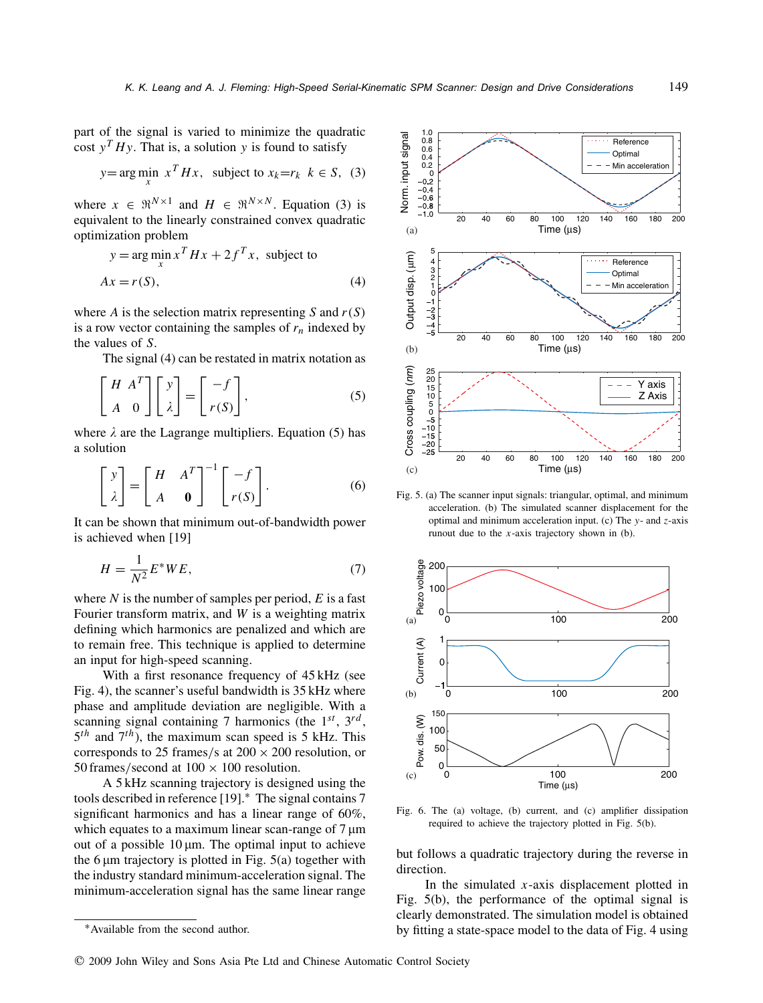part of the signal is varied to minimize the quadratic cost  $y<sup>T</sup> H y$ . That is, a solution *y* is found to satisfy

$$
y = \arg\min_{x} x^{T} H x, \text{ subject to } x_{k} = r_{k} \quad k \in S, \tag{3}
$$

where  $x \in \mathbb{R}^{N \times 1}$  and  $H \in \mathbb{R}^{N \times N}$ . Equation (3) is equivalent to the linearly constrained convex quadratic optimization problem

$$
y = \arg\min_{x} x^{T} Hx + 2f^{T} x, \text{ subject to}
$$
  
 
$$
Ax = r(S),
$$
 (4)

where *A* is the selection matrix representing *S* and  $r(S)$ is a row vector containing the samples of  $r_n$  indexed by the values of *S.*

The signal (4) can be restated in matrix notation as

$$
\begin{bmatrix} H & A^T \\ A & 0 \end{bmatrix} \begin{bmatrix} y \\ \lambda \end{bmatrix} = \begin{bmatrix} -f \\ r(S) \end{bmatrix},
$$
 (5)

where  $\lambda$  are the Lagrange multipliers. Equation (5) has a solution

$$
\begin{bmatrix} y \\ \lambda \end{bmatrix} = \begin{bmatrix} H & A^T \\ A & \mathbf{0} \end{bmatrix}^{-1} \begin{bmatrix} -f \\ r(S) \end{bmatrix}.
$$
 (6)

It can be shown that minimum out-of-bandwidth power is achieved when [19]

$$
H = \frac{1}{N^2} E^* W E,\tag{7}
$$

where *N* is the number of samples per period, *E* is a fast Fourier transform matrix, and *W* is a weighting matrix defining which harmonics are penalized and which are to remain free. This technique is applied to determine an input for high-speed scanning.

With a first resonance frequency of 45 kHz (see Fig. 4), the scanner's useful bandwidth is 35 kHz where phase and amplitude deviation are negligible. With a scanning signal containing 7 harmonics (the  $1^{st}$ ,  $3^{rd}$ , 5*th* and 7*th*), the maximum scan speed is 5 kHz. This corresponds to 25 frames*/*s at 200 × 200 resolution, or 50 frames/second at  $100 \times 100$  resolution.

A 5 kHz scanning trajectory is designed using the tools described in reference [19]. ∗ The signal contains 7 significant harmonics and has a linear range of 60%, which equates to a maximum linear scan-range of  $7 \mu m$ out of a possible  $10 \mu m$ . The optimal input to achieve the  $6 \mu m$  trajectory is plotted in Fig.  $5(a)$  together with the industry standard minimum-acceleration signal. The minimum-acceleration signal has the same linear range





Fig. 5. (a) The scanner input signals: triangular, optimal, and minimum acceleration. (b) The simulated scanner displacement for the optimal and minimum acceleration input. (c) The *y*- and *z*-axis runout due to the *x*-axis trajectory shown in (b).



Fig. 6. The (a) voltage, (b) current, and (c) amplifier dissipation required to achieve the trajectory plotted in Fig. 5(b).

but follows a quadratic trajectory during the reverse in direction.

In the simulated *x*-axis displacement plotted in Fig. 5(b), the performance of the optimal signal is clearly demonstrated. The simulation model is obtained by fitting a state-space model to the data of Fig. 4 using

 $Q$  2009 John Wiley and Sons Asia Pte Ltd and Chinese Automatic Control Society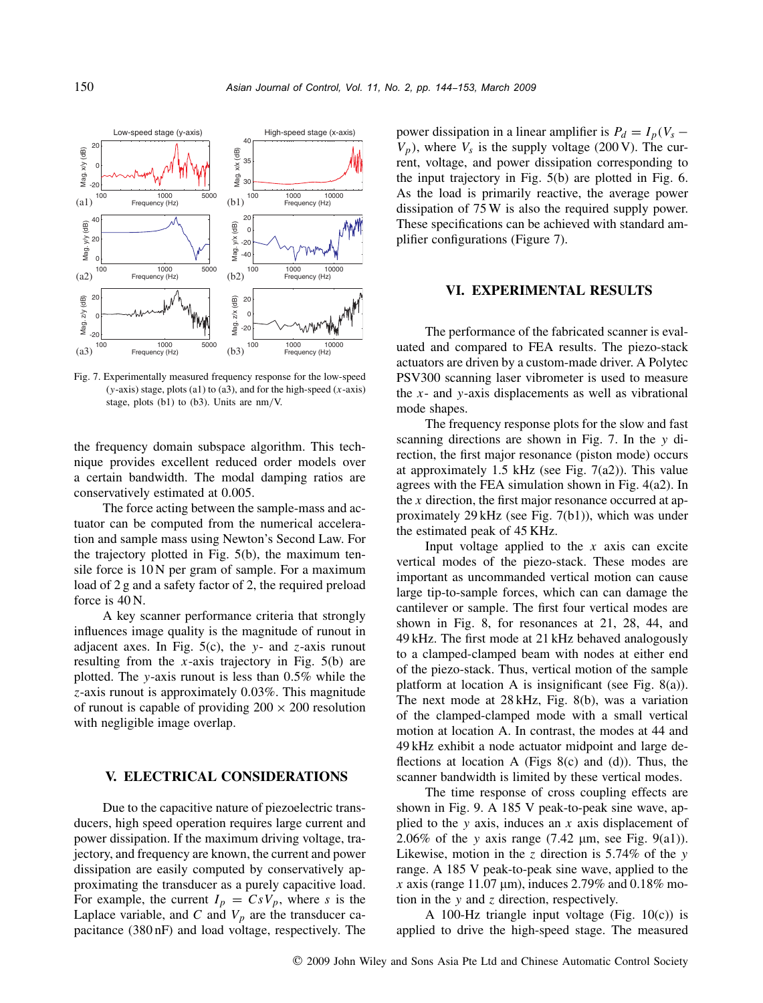

Fig. 7. Experimentally measured frequency response for the low-speed (*y*-axis) stage, plots (a1) to (a3), and for the high-speed (*x*-axis) stage, plots (b1) to (b3). Units are nm*/*V.

the frequency domain subspace algorithm. This technique provides excellent reduced order models over a certain bandwidth. The modal damping ratios are conservatively estimated at 0*.*005.

The force acting between the sample-mass and actuator can be computed from the numerical acceleration and sample mass using Newton's Second Law. For the trajectory plotted in Fig. 5(b), the maximum tensile force is 10 N per gram of sample. For a maximum load of 2 g and a safety factor of 2, the required preload force is 40 N.

A key scanner performance criteria that strongly influences image quality is the magnitude of runout in adjacent axes. In Fig. 5(c), the *y*- and *z*-axis runout resulting from the *x*-axis trajectory in Fig. 5(b) are plotted. The *y*-axis runout is less than 0*.*5% while the *z*-axis runout is approximately 0*.*03%. This magnitude of runout is capable of providing  $200 \times 200$  resolution with negligible image overlap.

## **V. ELECTRICAL CONSIDERATIONS**

Due to the capacitive nature of piezoelectric transducers, high speed operation requires large current and power dissipation. If the maximum driving voltage, trajectory, and frequency are known, the current and power dissipation are easily computed by conservatively approximating the transducer as a purely capacitive load. For example, the current  $I_p = CsV_p$ , where *s* is the Laplace variable, and  $C$  and  $V_p$  are the transducer capacitance (380 nF) and load voltage, respectively. The power dissipation in a linear amplifier is  $P_d = I_p(V_s V_p$ ), where  $V_s$  is the supply voltage (200 V). The current, voltage, and power dissipation corresponding to the input trajectory in Fig. 5(b) are plotted in Fig. 6. As the load is primarily reactive, the average power dissipation of 75 W is also the required supply power. These specifications can be achieved with standard amplifier configurations (Figure 7).

#### **VI. EXPERIMENTAL RESULTS**

The performance of the fabricated scanner is evaluated and compared to FEA results. The piezo-stack actuators are driven by a custom-made driver. A Polytec PSV300 scanning laser vibrometer is used to measure the *x*- and *y*-axis displacements as well as vibrational mode shapes.

The frequency response plots for the slow and fast scanning directions are shown in Fig. 7. In the *y* direction, the first major resonance (piston mode) occurs at approximately 1.5 kHz (see Fig.  $7(a2)$ ). This value agrees with the FEA simulation shown in Fig. 4(a2). In the *x* direction, the first major resonance occurred at approximately 29 kHz (see Fig. 7(b1)), which was under the estimated peak of 45 KHz.

Input voltage applied to the  $x$  axis can excite vertical modes of the piezo-stack. These modes are important as uncommanded vertical motion can cause large tip-to-sample forces, which can can damage the cantilever or sample. The first four vertical modes are shown in Fig. 8, for resonances at 21, 28, 44, and 49 kHz. The first mode at 21 kHz behaved analogously to a clamped-clamped beam with nodes at either end of the piezo-stack. Thus, vertical motion of the sample platform at location A is insignificant (see Fig. 8(a)). The next mode at 28 kHz, Fig. 8(b), was a variation of the clamped-clamped mode with a small vertical motion at location A. In contrast, the modes at 44 and 49 kHz exhibit a node actuator midpoint and large deflections at location A (Figs  $8(c)$  and (d)). Thus, the scanner bandwidth is limited by these vertical modes.

The time response of cross coupling effects are shown in Fig. 9. A 185 V peak-to-peak sine wave, applied to the *y* axis, induces an *x* axis displacement of 2.06% of the *y* axis range  $(7.42 \mu m, \text{ see Fig. 9(a1)})$ . Likewise, motion in the *z* direction is 5*.*74% of the *y* range. A 185 V peak-to-peak sine wave, applied to the  $x$  axis (range 11.07  $\mu$ m), induces 2.79% and 0.18% motion in the *y* and *z* direction, respectively.

A 100-Hz triangle input voltage (Fig. 10(c)) is applied to drive the high-speed stage. The measured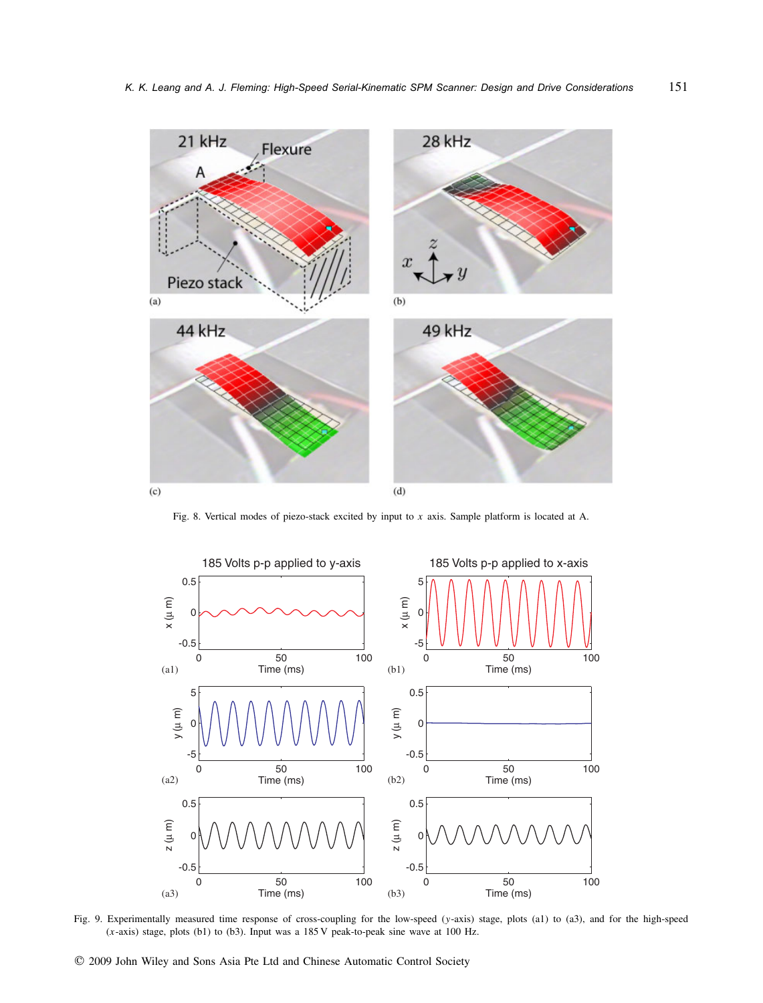

Fig. 8. Vertical modes of piezo-stack excited by input to *x* axis. Sample platform is located at A.



Fig. 9. Experimentally measured time response of cross-coupling for the low-speed (*y*-axis) stage, plots (a1) to (a3), and for the high-speed (*x*-axis) stage, plots (b1) to (b3). Input was a 185 V peak-to-peak sine wave at 100 Hz.

 $Q$  2009 John Wiley and Sons Asia Pte Ltd and Chinese Automatic Control Society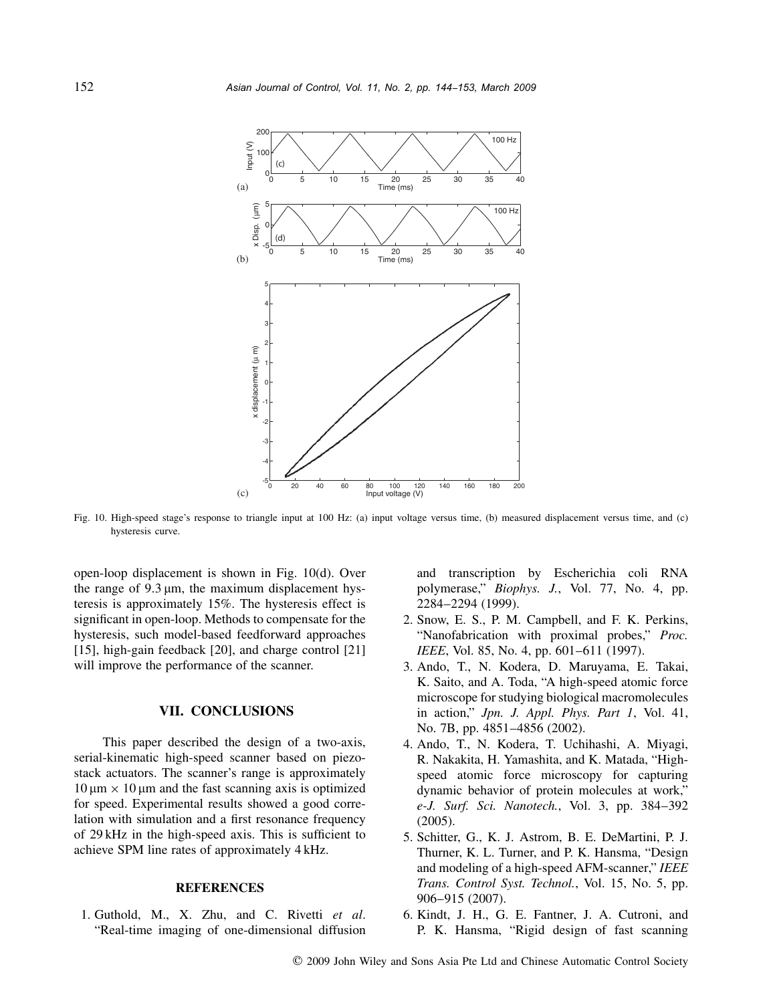

Fig. 10. High-speed stage's response to triangle input at 100 Hz: (a) input voltage versus time, (b) measured displacement versus time, and (c) hysteresis curve.

open-loop displacement is shown in Fig. 10(d). Over the range of  $9.3 \mu m$ , the maximum displacement hysteresis is approximately 15%. The hysteresis effect is significant in open-loop. Methods to compensate for the hysteresis, such model-based feedforward approaches [15], high-gain feedback [20], and charge control [21] will improve the performance of the scanner.

#### **VII. CONCLUSIONS**

This paper described the design of a two-axis, serial-kinematic high-speed scanner based on piezostack actuators. The scanner's range is approximately  $10 \,\mu\text{m} \times 10 \,\mu\text{m}$  and the fast scanning axis is optimized for speed. Experimental results showed a good correlation with simulation and a first resonance frequency of 29 kHz in the high-speed axis. This is sufficient to achieve SPM line rates of approximately 4 kHz.

## **REFERENCES**

1. Guthold, M., X. Zhu, and C. Rivetti *et al*. "Real-time imaging of one-dimensional diffusion and transcription by Escherichia coli RNA polymerase," *Biophys. J.*, Vol. 77, No. 4, pp. 2284–2294 (1999).

- 2. Snow, E. S., P. M. Campbell, and F. K. Perkins, "Nanofabrication with proximal probes," *Proc. IEEE*, Vol. 85, No. 4, pp. 601–611 (1997).
- 3. Ando, T., N. Kodera, D. Maruyama, E. Takai, K. Saito, and A. Toda, "A high-speed atomic force microscope for studying biological macromolecules in action," *Jpn. J. Appl. Phys. Part 1*, Vol. 41, No. 7B, pp. 4851–4856 (2002).
- 4. Ando, T., N. Kodera, T. Uchihashi, A. Miyagi, R. Nakakita, H. Yamashita, and K. Matada, "Highspeed atomic force microscopy for capturing dynamic behavior of protein molecules at work," *e-J. Surf. Sci. Nanotech.*, Vol. 3, pp. 384–392 (2005).
- 5. Schitter, G., K. J. Astrom, B. E. DeMartini, P. J. Thurner, K. L. Turner, and P. K. Hansma, "Design and modeling of a high-speed AFM-scanner," *IEEE Trans. Control Syst. Technol.*, Vol. 15, No. 5, pp. 906–915 (2007).
- 6. Kindt, J. H., G. E. Fantner, J. A. Cutroni, and P. K. Hansma, "Rigid design of fast scanning